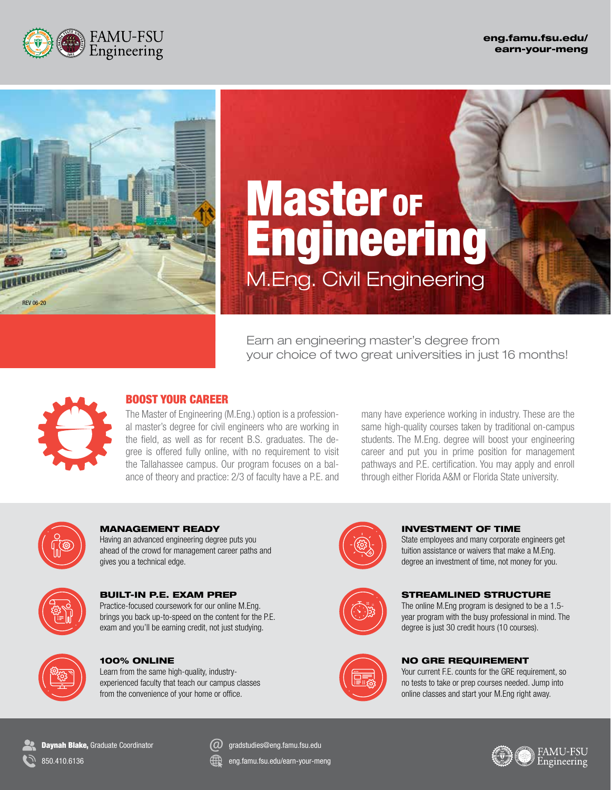



# **Master of** Engineering M.Eng. Civil Engineering

Earn an engineering master's degree from your choice of two great universities in just 16 months!



## BOOST YOUR CAREER

The Master of Engineering (M.Eng.) option is a professional master's degree for civil engineers who are working in the field, as well as for recent B.S. graduates. The degree is offered fully online, with no requirement to visit the Tallahassee campus. Our program focuses on a balance of theory and practice: 2/3 of faculty have a P.E. and

many have experience working in industry. These are the same high-quality courses taken by traditional on-campus students. The M.Eng. degree will boost your engineering career and put you in prime position for management pathways and P.E. certification. You may apply and enroll through either Florida A&M or Florida State university.



MANAGEMENT READY Having an advanced engineering degree puts you ahead of the crowd for management career paths and gives you a technical edge.



BUILT-IN P.E. EXAM PREP Practice-focused coursework for our online M.Eng. brings you back up-to-speed on the content for the P.E. exam and you'll be earning credit, not just studying.



100% ONLINE

Learn from the same high-quality, industryexperienced faculty that teach our campus classes from the convenience of your home or office.



INVESTMENT OF TIME

State employees and many corporate engineers get tuition assistance or waivers that make a M.Eng. degree an investment of time, not money for you.



#### STREAMLINED STRUCTURE

The online M.Eng program is designed to be a 1.5 year program with the busy professional in mind. The degree is just 30 credit hours (10 courses).



Your current F.E. counts for the GRE requirement, so no tests to take or prep courses needed. Jump into online classes and start your M.Eng right away.

**Daynah Blake, Graduate Coordinator** 850.410.6136

gradstudies@eng.famu.fsu.edu

eng.famu.fsu.edu/earn-your-meng